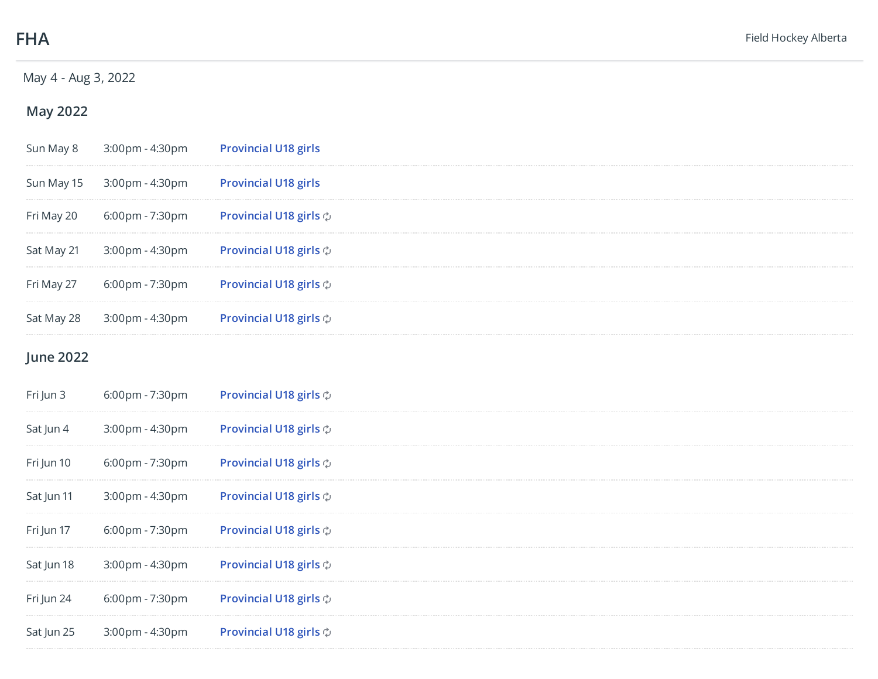## May 4 - Aug 3, 2022

## **May**

| Sun May 8  | 3:00pm - 4:30pm                     | <b>Provincial U18 girls</b>        |
|------------|-------------------------------------|------------------------------------|
| Sun May 15 | 3:00pm - 4:30pm                     | <b>Provincial U18 girls</b>        |
| Fri May 20 | $6:00 \text{pm}$ - 7:30 $\text{pm}$ | <b>Provincial U18 girls</b> $\phi$ |
| Sat May 21 | 3:00pm - 4:30pm                     | Provincial U18 girls $\diamond$    |
| Fri May 27 | $6:00 \text{pm}$ - 7:30 $\text{pm}$ | <b>Provincial U18 girls</b> $\phi$ |
| Sat May 28 | 3:00pm - 4:30pm                     | Provincial U18 girls $\diamond$    |
|            |                                     |                                    |

## **June**

| Fri Jun 3  | 6:00pm - 7:30pm | Provincial U18 girls $\diamond$     |
|------------|-----------------|-------------------------------------|
| Sat Jun 4  | 3:00pm - 4:30pm | Provincial U18 girls $\phi$         |
| Fri Jun 10 | 6:00pm - 7:30pm | Provincial U18 girls $\phi$         |
| Sat Jun 11 | 3:00pm - 4:30pm | Provincial U18 girls $\phi$         |
| Fri Jun 17 | 6:00pm - 7:30pm | Provincial U18 girls $\phi$         |
| Sat Jun 18 | 3:00pm - 4:30pm | Provincial U18 girls $\phi$         |
| Fri Jun 24 | 6:00pm - 7:30pm | Provincial U18 girls $\phi$         |
| Sat Jun 25 | 3:00pm - 4:30pm | Provincial U18 girls $\diamondsuit$ |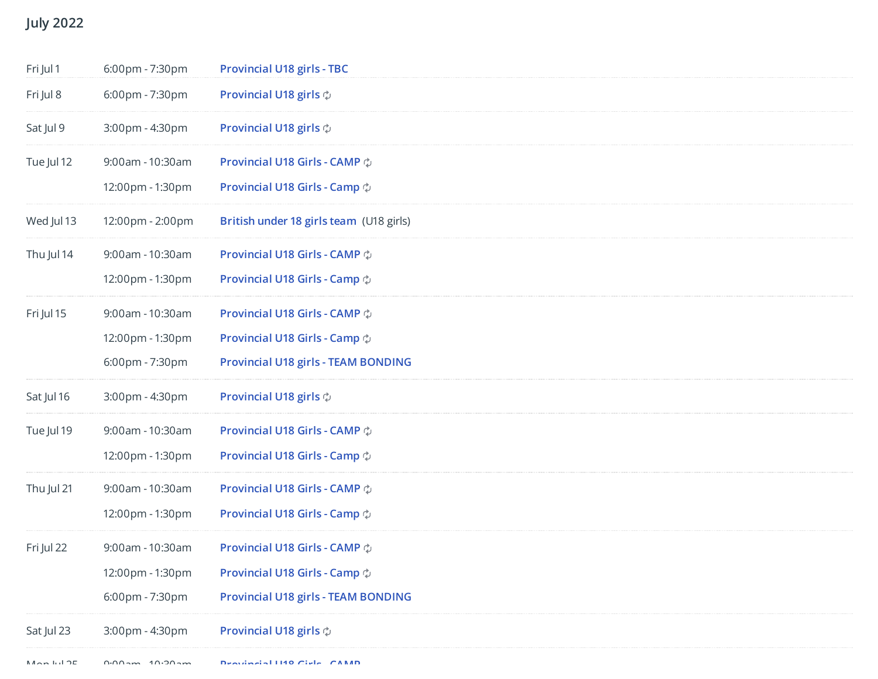## **July**

| Fri Jul 1  | 6:00pm - 7:30pm  | <b>Provincial U18 girls - TBC</b>          |
|------------|------------------|--------------------------------------------|
| Fri Jul 8  | 6:00pm - 7:30pm  | Provincial U18 girls $\phi$                |
| Sat Jul 9  | 3:00pm - 4:30pm  | Provincial U18 girls $\phi$                |
| Tue Jul 12 | 9:00am - 10:30am | Provincial U18 Girls - CAMP $\phi$         |
|            | 12:00pm - 1:30pm | Provincial U18 Girls - Camp $\phi$         |
| Wed Jul 13 | 12:00pm - 2:00pm | British under 18 girls team (U18 girls)    |
| Thu Jul 14 | 9:00am - 10:30am | Provincial U18 Girls - CAMP $\phi$         |
|            | 12:00pm - 1:30pm | Provincial U18 Girls - Camp $\phi$         |
| Fri Jul 15 | 9:00am - 10:30am | Provincial U18 Girls - CAMP $\diamondsuit$ |
|            | 12:00pm - 1:30pm | Provincial U18 Girls - Camp $\diamondsuit$ |
|            | 6:00pm - 7:30pm  | <b>Provincial U18 girls - TEAM BONDING</b> |
| Sat Jul 16 | 3:00pm - 4:30pm  | Provincial U18 girls $\phi$                |
| Tue Jul 19 | 9:00am - 10:30am | Provincial U18 Girls - CAMP $\phi$         |
|            | 12:00pm - 1:30pm | Provincial U18 Girls - Camp $\phi$         |
| Thu Jul 21 | 9:00am - 10:30am | Provincial U18 Girls - CAMP $\phi$         |
|            | 12:00pm - 1:30pm | Provincial U18 Girls - Camp $\phi$         |
| Fri Jul 22 | 9:00am - 10:30am | Provincial U18 Girls - CAMP $\phi$         |
|            | 12:00pm - 1:30pm | Provincial U18 Girls - Camp $\diamondsuit$ |
|            | 6:00pm - 7:30pm  | <b>Provincial U18 girls - TEAM BONDING</b> |
| Sat Jul 23 | 3:00pm - 4:30pm  | Provincial U18 girls $\diamond$            |
|            |                  |                                            |